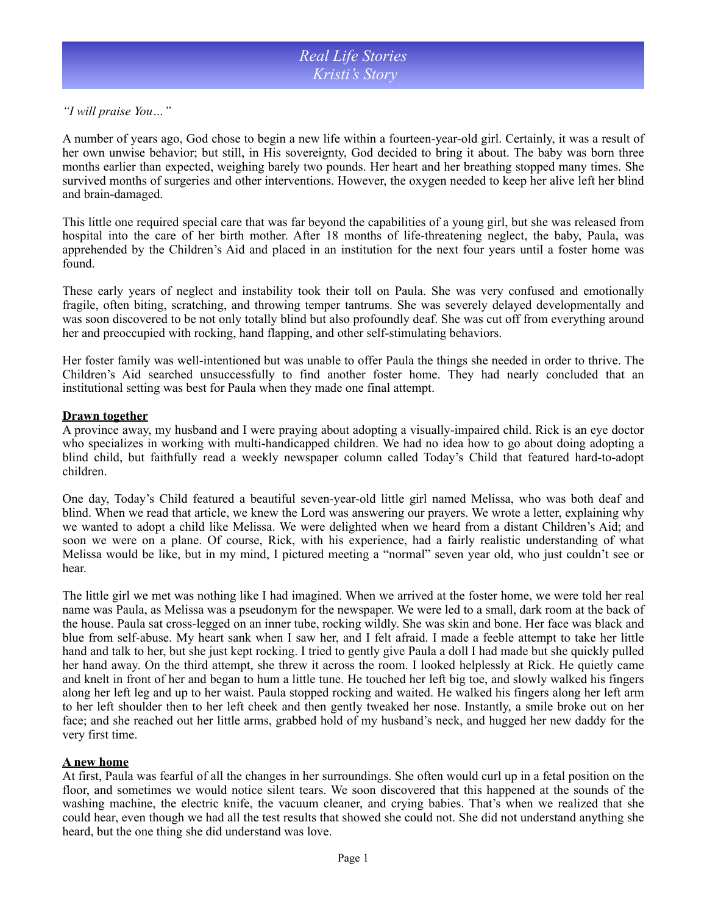## *"I will praise You…"*

A number of years ago, God chose to begin a new life within a fourteen-year-old girl. Certainly, it was a result of her own unwise behavior; but still, in His sovereignty, God decided to bring it about. The baby was born three months earlier than expected, weighing barely two pounds. Her heart and her breathing stopped many times. She survived months of surgeries and other interventions. However, the oxygen needed to keep her alive left her blind and brain-damaged.

This little one required special care that was far beyond the capabilities of a young girl, but she was released from hospital into the care of her birth mother. After 18 months of life-threatening neglect, the baby, Paula, was apprehended by the Children's Aid and placed in an institution for the next four years until a foster home was found.

These early years of neglect and instability took their toll on Paula. She was very confused and emotionally fragile, often biting, scratching, and throwing temper tantrums. She was severely delayed developmentally and was soon discovered to be not only totally blind but also profoundly deaf. She was cut off from everything around her and preoccupied with rocking, hand flapping, and other self-stimulating behaviors.

Her foster family was well-intentioned but was unable to offer Paula the things she needed in order to thrive. The Children's Aid searched unsuccessfully to find another foster home. They had nearly concluded that an institutional setting was best for Paula when they made one final attempt.

### **Drawn together**

A province away, my husband and I were praying about adopting a visually-impaired child. Rick is an eye doctor who specializes in working with multi-handicapped children. We had no idea how to go about doing adopting a blind child, but faithfully read a weekly newspaper column called Today's Child that featured hard-to-adopt children.

One day, Today's Child featured a beautiful seven-year-old little girl named Melissa, who was both deaf and blind. When we read that article, we knew the Lord was answering our prayers. We wrote a letter, explaining why we wanted to adopt a child like Melissa. We were delighted when we heard from a distant Children's Aid; and soon we were on a plane. Of course, Rick, with his experience, had a fairly realistic understanding of what Melissa would be like, but in my mind, I pictured meeting a "normal" seven year old, who just couldn't see or hear.

The little girl we met was nothing like I had imagined. When we arrived at the foster home, we were told her real name was Paula, as Melissa was a pseudonym for the newspaper. We were led to a small, dark room at the back of the house. Paula sat cross-legged on an inner tube, rocking wildly. She was skin and bone. Her face was black and blue from self-abuse. My heart sank when I saw her, and I felt afraid. I made a feeble attempt to take her little hand and talk to her, but she just kept rocking. I tried to gently give Paula a doll I had made but she quickly pulled her hand away. On the third attempt, she threw it across the room. I looked helplessly at Rick. He quietly came and knelt in front of her and began to hum a little tune. He touched her left big toe, and slowly walked his fingers along her left leg and up to her waist. Paula stopped rocking and waited. He walked his fingers along her left arm to her left shoulder then to her left cheek and then gently tweaked her nose. Instantly, a smile broke out on her face; and she reached out her little arms, grabbed hold of my husband's neck, and hugged her new daddy for the very first time.

## **A new home**

At first, Paula was fearful of all the changes in her surroundings. She often would curl up in a fetal position on the floor, and sometimes we would notice silent tears. We soon discovered that this happened at the sounds of the washing machine, the electric knife, the vacuum cleaner, and crying babies. That's when we realized that she could hear, even though we had all the test results that showed she could not. She did not understand anything she heard, but the one thing she did understand was love.